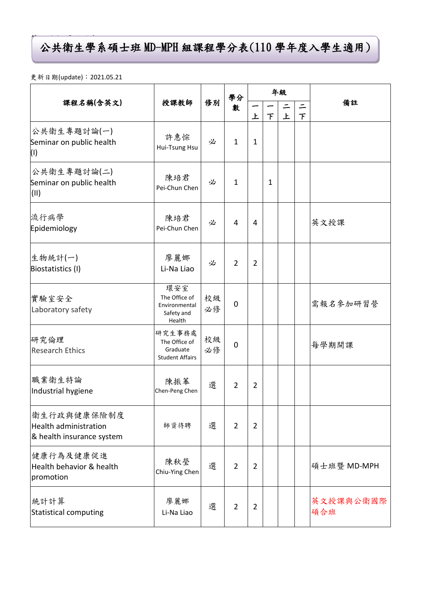## $\frac{1}{2}$ 公共衛生學系碩士班 MD-MPH 組課程學分表(110 學年度入學生適用)

## 更新日期(update):2021.05.21

| 課程名稱(含英文)                                                                | 授課教師                                                          | 修別       | 學分<br>數        | 年級             |              |   |                    |                  |
|--------------------------------------------------------------------------|---------------------------------------------------------------|----------|----------------|----------------|--------------|---|--------------------|------------------|
|                                                                          |                                                               |          |                | 上              | 下            | 上 | $\equiv$<br>$\tau$ | 備註               |
| 公共衛生專題討論(一)<br>Seminar on public health<br>(1)                           | 許惠悰<br>Hui-Tsung Hsu                                          | 必        | $\mathbf{1}$   | $\mathbf{1}$   |              |   |                    |                  |
| 公共衛生專題討論(二)<br>Seminar on public health<br>(11)                          | 陳培君<br>Pei-Chun Chen                                          | 必        | $\mathbf{1}$   |                | $\mathbf{1}$ |   |                    |                  |
| 流行病學<br>Epidemiology                                                     | 陳培君<br>Pei-Chun Chen                                          | 必        | 4              | 4              |              |   |                    | 英文授課             |
| 生物統計(一)<br>Biostatistics (I)                                             | 廖麗娜<br>Li-Na Liao                                             | 必        | $\overline{2}$ | $\overline{2}$ |              |   |                    |                  |
| 實驗室安全<br>Laboratory safety                                               | 環安室<br>The Office of<br>Environmental<br>Safety and<br>Health | 校級<br>必修 | $\mathbf 0$    |                |              |   |                    | 需報名參加研習營         |
| 研究倫理<br><b>Research Ethics</b>                                           | 研究生事務處<br>The Office of<br>Graduate<br><b>Student Affairs</b> | 校級<br>必修 | $\mathbf 0$    |                |              |   |                    | 每學期開課            |
| 職業衛生特論<br>Industrial hygiene                                             | 陳振菶<br>Chen-Peng Chen                                         | 選        | $\overline{2}$ | $\overline{2}$ |              |   |                    |                  |
| 衛生行政與健康保險制度<br><b>Health administration</b><br>& health insurance system | 師資待聘                                                          | 選        | $\overline{2}$ | $\overline{2}$ |              |   |                    |                  |
| 健康行為及健康促進<br>Health behavior & health<br>promotion                       | 陳秋瑩<br>Chiu-Ying Chen                                         | 選        | $\overline{2}$ | $\overline{2}$ |              |   |                    | 碩士班暨 MD-MPH      |
| 統計計算<br><b>Statistical computing</b>                                     | 廖麗娜<br>Li-Na Liao                                             | 選        | $\overline{2}$ | $\overline{2}$ |              |   |                    | 英文授課與公衛國際<br>碩合班 |